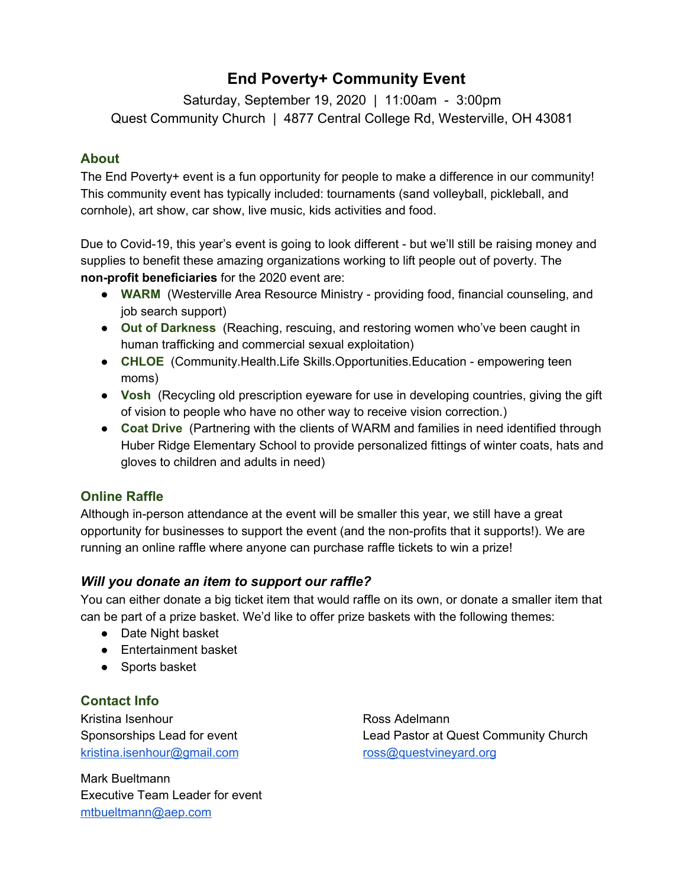# **End Poverty+ Community Event**

Saturday, September 19, 2020 | 11:00am - 3:00pm Quest Community Church | 4877 Central College Rd, Westerville, OH 43081

### **About**

The End Poverty+ event is a fun opportunity for people to make a difference in our community! This community event has typically included: tournaments (sand volleyball, pickleball, and cornhole), art show, car show, live music, kids activities and food.

Due to Covid-19, this year's event is going to look different - but we'll still be raising money and supplies to benefit these amazing organizations working to lift people out of poverty. The **non-profit beneficiaries** for the 2020 event are:

- **WARM** (Westerville Area Resource Ministry providing food, financial counseling, and job search support)
- **Out of Darkness** (Reaching, rescuing, and restoring women who've been caught in human trafficking and commercial sexual exploitation)
- **CHLOE** (Community.Health.Life Skills.Opportunities.Education empowering teen moms)
- **Vosh** (Recycling old prescription eyeware for use in developing countries, giving the gift of vision to people who have no other way to receive vision correction.)
- **Coat Drive** (Partnering with the clients of WARM and families in need identified through Huber Ridge Elementary School to provide personalized fittings of winter coats, hats and gloves to children and adults in need)

### **Online Raffle**

Although in-person attendance at the event will be smaller this year, we still have a great opportunity for businesses to support the event (and the non-profits that it supports!). We are running an online raffle where anyone can purchase raffle tickets to win a prize!

### *Will you donate an item to support our raffle?*

You can either donate a big ticket item that would raffle on its own, or donate a smaller item that can be part of a prize basket. We'd like to offer prize baskets with the following themes:

- Date Night basket
- Entertainment basket
- Sports basket

### **Contact Info**

Kristina Isenhour Sponsorships Lead for event [kristina.isenhour@gmail.com](mailto:kristina.isenhour@gmail.com)

Mark Bueltmann Executive Team Leader for event [mtbueltmann@aep.com](mailto:mtbueltmann@aep.com)

Ross Adelmann Lead Pastor at Quest Community Church [ross@questvineyard.org](mailto:ross@questvineyard.org)